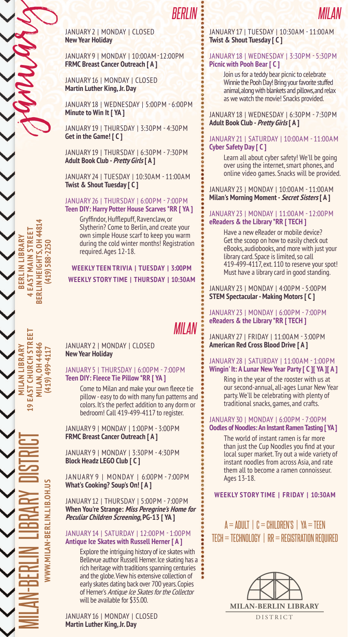*BERLIN*

January 2 | Monday | Closed **New Year Holiday**

January 9 | Monday | 10:00am- 12:00pm **FRMC Breast Cancer Outreach [ A ]**

January 16 | Monday | Closed **Martin Luther King, Jr. Day**

January 18 | Wednesday | 5:00pm - 6:00pm **Minute to Win It [ YA ]**

January 19 | Thursday | 3:30pm - 4:30pm **Get in the Game! [ C ]**

January 19 | Thursday | 6:30pm - 7:30pm **Adult Book Club - Pretty Girls [ A ]**

January 24 | Tuesday | 10:30am - 11:00am **Twist & Shout Tuesday [ C ]**

#### January 26 | Thursday | 6:00pm - 7:00pm **Teen DIY: Harry Potter House Scarves \*RR [ YA ]**

Gryffindor, Hufflepuff, Ravenclaw, or Slytherin? Come to Berlin, and create your own simple House scarf to keep you warm during the cold winter months! Registration required. Ages 12-18.

## **Weekly Story Time | Thursday | 10:30AM Weekly TEEN TRIVIA | TUESday | 3:00PM**

# *Milan*

January 2 | Monday | Closed **New Year Holiday**

## January 5 | Thursday | 6:00pm - 7:00pm **Teen DIY: Fleece Tie Pillow \*RR [ YA ]**

Come to Milan and make your own fleece tie pillow - easy to do with many fun patterns and colors. It's the perfect addition to any dorm or bedroom! Call 419-499-4117 to register.

January 9 | Monday | 1:00pm - 3:00pm **FRMC Breast Cancer Outreach [ A ]**

January 9 | Monday | 3:30pm - 4:30pm **Block Headz LEGO Club [ C ]**

January 9 | Monday | 6:00pm - 7:00pm **What's Cooking? Soup's On! [ A ]**

January 12 | Thursday | 5:00pm - 7:00pm **When You're Strange: Miss Peregrine's Home for Peculiar Children Screening, PG-13 [ YA ]**

#### January 14 | Saturday | 12:00pm - 1:00pm **Antique Ice Skates with Russell Herner [ A ]**

Explore the intriguing history of ice skates with Bellevue author Russell Herner. Ice skating has a rich heritage with traditions spanning centuries and the globe. View his extensive collection of early skates dating back over 700 years. Copies of Herner's Antique Ice Skates for the Collector will be available for \$35.00.

January 16 | Monday | Closed **Martin Luther King, Jr. Day** 

Milan-Berlin

Library District

**www.milan-berlin.lib.oh.us**

**Milan Library 19 East Church Street Milan, OH 44846 (419) 499-4117**

EAST CHURCH STREI MILAN LIBRARY

 $\bullet$ 

**AILAN, OH 4484** 499-411

**Berlin Library BERLIN LIBRARY**<br>EAST MAIN STREE<sup>-</sup> **Main Street Berlin Heights, OH 44814 (419) 588-2250**

**BERLIN HEIGHTS. 0H 4481**  $(419)$ 

january

## January 17 | Tuesday | 10:30am - 11:00am **Twist & Shout Tuesday [ C ]**

*Milan*

## January 18 | Wednesday | 3:30pm - 5:30pm **Picnic with Pooh Bear [ C ]**

Join us for a teddy bear picnic to celebrate Winnie the Pooh Day! Bring your favorite stuffed animal, along with blankets and pillows, and relax as we watch the movie! Snacks provided.

January 18 | Wednesday | 6:30pm - 7:30pm **Adult Book Club - Pretty Girls [ A ]**

## January 21 | Saturday | 10:00am - 11:00am **Cyber Safety Day [ C ]**

Learn all about cyber safety! We'll be going over using the internet, smart phones, and online video games. Snacks will be provided.

January 23 | Monday | 10:00am - 11:00am **Milan's Morning Moment - Secret Sisters [ A ]**

## January 23 | Monday | 11:00am - 12:00pm **eReaders & the Library \*RR [ TECH ]**

Have a new eReader or mobile device? Get the scoop on how to easily check out eBooks, audiobooks, and more with just your library card. Space is limited, so call 419-499-4117, ext. 110 to reserve your spot! Must have a library card in good standing.

January 23 | Monday | 4:00pm - 5:00pm **STEM Spectacular - Making Motors [ C ]**

January 23 | Monday | 6:00pm - 7:00pm **eReaders & the Library \*RR [ TECH ]**

January 27 | Friday | 11:00am - 3:00pm **American Red Cross Blood Drive [ A ]**

## January 28 | Saturday | 11:00am - 1:00pm **Wingin' It: A Lunar New Year Party [ C ][ YA ][ A ]**

Ring in the year of the rooster with us at our second-annual, all-ages Lunar New Year party. We'll be celebrating with plenty of traditional snacks, games, and crafts.

#### January 30 | Monday | 6:00pm - 7:00pm **Oodles of Noodles: An Instant Ramen Tasting [ YA ]**

The world of instant ramen is far more than just the Cup Noodles you find at your local super market. Try out a wide variety of instant noodles from across Asia, and rate them all to become a ramen connoisseur. Ages 13-18.

## **Weekly Story Time | FRIDAY | 10:30AM**

 $A = ADULT \perp C = CHILDREN'S \perp YA = TEEN$  $TECH = TECHNOLOGY$  |  $RR = REGISTRATION REQUIRED$